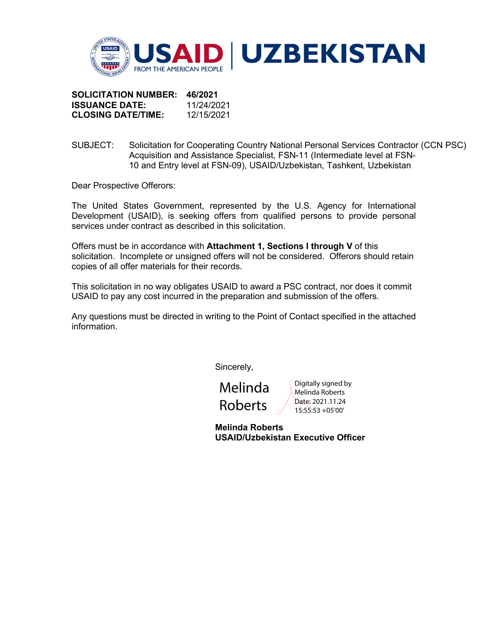

**SOLICITATION NUMBER: 46/2021 ISSUANCE DATE:** 11/24/2021 **CLOSING DATE/TIME:** 12/15/2021

SUBJECT: Solicitation for Cooperating Country National Personal Services Contractor (CCN PSC) Acquisition and Assistance Specialist, FSN-11 (Intermediate level at FSN-10 and Entry level at FSN-09), USAID/Uzbekistan, Tashkent, Uzbekistan

Dear Prospective Offerors:

The United States Government, represented by the U.S. Agency for International Development (USAID), is seeking offers from qualified persons to provide personal services under contract as described in this solicitation.

Offers must be in accordance with **Attachment 1, Sections I through V** of this solicitation. Incomplete or unsigned offers will not be considered. Offerors should retain copies of all offer materials for their records.

This solicitation in no way obligates USAID to award a PSC contract, nor does it commit USAID to pay any cost incurred in the preparation and submission of the offers.

Any questions must be directed in writing to the Point of Contact specified in the attached information.

Sincerely,

Melinda Roberts

Digitally signed by Melinda Roberts Date: 2021.11.24 15:55:53 +05'00'

**Melinda Roberts USAID/Uzbekistan Executive Officer**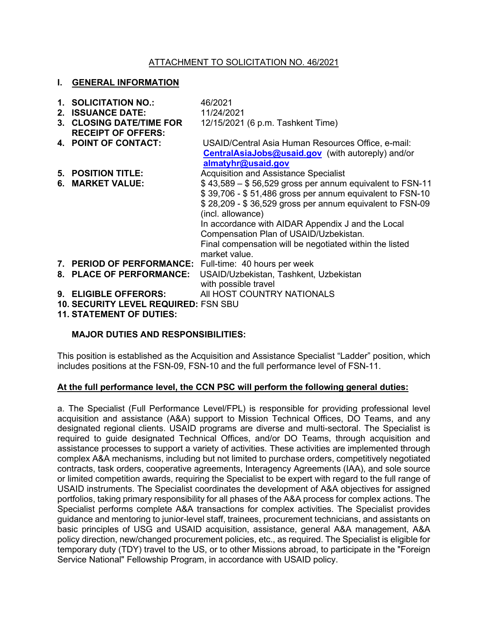## ATTACHMENT TO SOLICITATION NO. 46/2021

#### **I. GENERAL INFORMATION**

| 1. SOLICITATION NO.:<br>2. ISSUANCE DATE:<br>3. CLOSING DATE/TIME FOR<br><b>RECEIPT OF OFFERS:</b> | 46/2021<br>11/24/2021<br>12/15/2021 (6 p.m. Tashkent Time)                                                                                                                                                                                                                                                                                                                       |
|----------------------------------------------------------------------------------------------------|----------------------------------------------------------------------------------------------------------------------------------------------------------------------------------------------------------------------------------------------------------------------------------------------------------------------------------------------------------------------------------|
| 4. POINT OF CONTACT:                                                                               | USAID/Central Asia Human Resources Office, e-mail:<br><b>CentralAsiaJobs@usaid.gov</b> (with autoreply) and/or<br>almatyhr@usaid.gov                                                                                                                                                                                                                                             |
| 5. POSITION TITLE:                                                                                 | <b>Acquisition and Assistance Specialist</b>                                                                                                                                                                                                                                                                                                                                     |
| 6. MARKET VALUE:                                                                                   | $$43,589 - $56,529$ gross per annum equivalent to FSN-11<br>\$39,706 - \$51,486 gross per annum equivalent to FSN-10<br>\$28,209 - \$36,529 gross per annum equivalent to FSN-09<br>(incl. allowance)<br>In accordance with AIDAR Appendix J and the Local<br>Compensation Plan of USAID/Uzbekistan.<br>Final compensation will be negotiated within the listed<br>market value. |
| 7. PERIOD OF PERFORMANCE: Full-time: 40 hours per week                                             |                                                                                                                                                                                                                                                                                                                                                                                  |
| 8. PLACE OF PERFORMANCE:                                                                           | USAID/Uzbekistan, Tashkent, Uzbekistan<br>with possible travel                                                                                                                                                                                                                                                                                                                   |
| 9. ELIGIBLE OFFERORS:                                                                              | AII HOST COUNTRY NATIONALS                                                                                                                                                                                                                                                                                                                                                       |
| 10. SECURITY LEVEL REQUIRED: FSN SBU                                                               |                                                                                                                                                                                                                                                                                                                                                                                  |
| <b>11. STATEMENT OF DUTIES:</b>                                                                    |                                                                                                                                                                                                                                                                                                                                                                                  |

### **MAJOR DUTIES AND RESPONSIBILITIES:**

This position is established as the Acquisition and Assistance Specialist "Ladder" position, which includes positions at the FSN-09, FSN-10 and the full performance level of FSN-11.

#### **At the full performance level, the CCN PSC will perform the following general duties:**

a. The Specialist (Full Performance Level/FPL) is responsible for providing professional level acquisition and assistance (A&A) support to Mission Technical Offices, DO Teams, and any designated regional clients. USAID programs are diverse and multi-sectoral. The Specialist is required to guide designated Technical Offices, and/or DO Teams, through acquisition and assistance processes to support a variety of activities. These activities are implemented through complex A&A mechanisms, including but not limited to purchase orders, competitively negotiated contracts, task orders, cooperative agreements, Interagency Agreements (IAA), and sole source or limited competition awards, requiring the Specialist to be expert with regard to the full range of USAID instruments. The Specialist coordinates the development of A&A objectives for assigned portfolios, taking primary responsibility for all phases of the A&A process for complex actions. The Specialist performs complete A&A transactions for complex activities. The Specialist provides guidance and mentoring to junior-level staff, trainees, procurement technicians, and assistants on basic principles of USG and USAID acquisition, assistance, general A&A management, A&A policy direction, new/changed procurement policies, etc., as required. The Specialist is eligible for temporary duty (TDY) travel to the US, or to other Missions abroad, to participate in the "Foreign Service National" Fellowship Program, in accordance with USAID policy.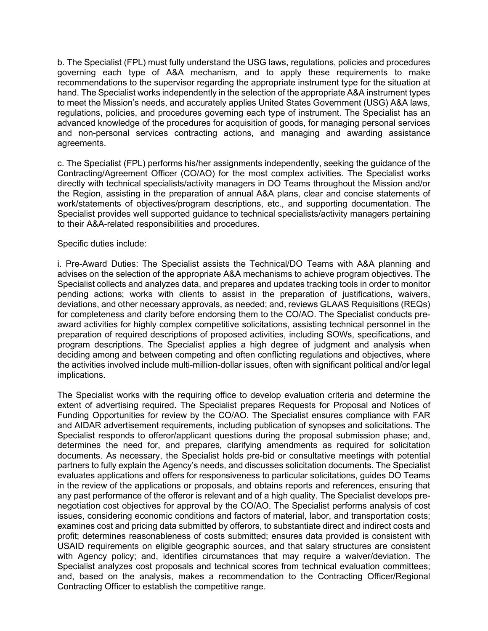b. The Specialist (FPL) must fully understand the USG laws, regulations, policies and procedures governing each type of A&A mechanism, and to apply these requirements to make recommendations to the supervisor regarding the appropriate instrument type for the situation at hand. The Specialist works independently in the selection of the appropriate A&A instrument types to meet the Mission's needs, and accurately applies United States Government (USG) A&A laws, regulations, policies, and procedures governing each type of instrument. The Specialist has an advanced knowledge of the procedures for acquisition of goods, for managing personal services and non-personal services contracting actions, and managing and awarding assistance agreements.

c. The Specialist (FPL) performs his/her assignments independently, seeking the guidance of the Contracting/Agreement Officer (CO/AO) for the most complex activities. The Specialist works directly with technical specialists/activity managers in DO Teams throughout the Mission and/or the Region, assisting in the preparation of annual A&A plans, clear and concise statements of work/statements of objectives/program descriptions, etc., and supporting documentation. The Specialist provides well supported guidance to technical specialists/activity managers pertaining to their A&A-related responsibilities and procedures.

#### Specific duties include:

i. Pre-Award Duties: The Specialist assists the Technical/DO Teams with A&A planning and advises on the selection of the appropriate A&A mechanisms to achieve program objectives. The Specialist collects and analyzes data, and prepares and updates tracking tools in order to monitor pending actions; works with clients to assist in the preparation of justifications, waivers, deviations, and other necessary approvals, as needed; and, reviews GLAAS Requisitions (REQs) for completeness and clarity before endorsing them to the CO/AO. The Specialist conducts preaward activities for highly complex competitive solicitations, assisting technical personnel in the preparation of required descriptions of proposed activities, including SOWs, specifications, and program descriptions. The Specialist applies a high degree of judgment and analysis when deciding among and between competing and often conflicting regulations and objectives, where the activities involved include multi-million-dollar issues, often with significant political and/or legal implications.

The Specialist works with the requiring office to develop evaluation criteria and determine the extent of advertising required. The Specialist prepares Requests for Proposal and Notices of Funding Opportunities for review by the CO/AO. The Specialist ensures compliance with FAR and AIDAR advertisement requirements, including publication of synopses and solicitations. The Specialist responds to offeror/applicant questions during the proposal submission phase; and, determines the need for, and prepares, clarifying amendments as required for solicitation documents. As necessary, the Specialist holds pre-bid or consultative meetings with potential partners to fully explain the Agency's needs, and discusses solicitation documents. The Specialist evaluates applications and offers for responsiveness to particular solicitations, guides DO Teams in the review of the applications or proposals, and obtains reports and references, ensuring that any past performance of the offeror is relevant and of a high quality. The Specialist develops prenegotiation cost objectives for approval by the CO/AO. The Specialist performs analysis of cost issues, considering economic conditions and factors of material, labor, and transportation costs; examines cost and pricing data submitted by offerors, to substantiate direct and indirect costs and profit; determines reasonableness of costs submitted; ensures data provided is consistent with USAID requirements on eligible geographic sources, and that salary structures are consistent with Agency policy; and, identifies circumstances that may require a waiver/deviation. The Specialist analyzes cost proposals and technical scores from technical evaluation committees; and, based on the analysis, makes a recommendation to the Contracting Officer/Regional Contracting Officer to establish the competitive range.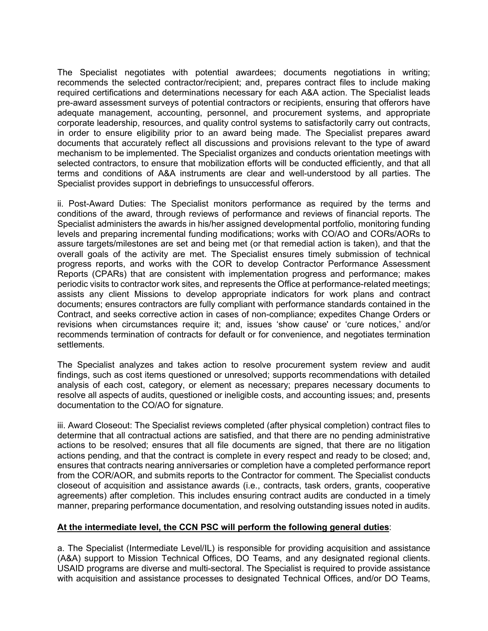The Specialist negotiates with potential awardees; documents negotiations in writing; recommends the selected contractor/recipient; and, prepares contract files to include making required certifications and determinations necessary for each A&A action. The Specialist leads pre-award assessment surveys of potential contractors or recipients, ensuring that offerors have adequate management, accounting, personnel, and procurement systems, and appropriate corporate leadership, resources, and quality control systems to satisfactorily carry out contracts, in order to ensure eligibility prior to an award being made. The Specialist prepares award documents that accurately reflect all discussions and provisions relevant to the type of award mechanism to be implemented. The Specialist organizes and conducts orientation meetings with selected contractors, to ensure that mobilization efforts will be conducted efficiently, and that all terms and conditions of A&A instruments are clear and well-understood by all parties. The Specialist provides support in debriefings to unsuccessful offerors.

ii. Post-Award Duties: The Specialist monitors performance as required by the terms and conditions of the award, through reviews of performance and reviews of financial reports. The Specialist administers the awards in his/her assigned developmental portfolio, monitoring funding levels and preparing incremental funding modifications; works with CO/AO and CORs/AORs to assure targets/milestones are set and being met (or that remedial action is taken), and that the overall goals of the activity are met. The Specialist ensures timely submission of technical progress reports, and works with the COR to develop Contractor Performance Assessment Reports (CPARs) that are consistent with implementation progress and performance; makes periodic visits to contractor work sites, and represents the Office at performance-related meetings; assists any client Missions to develop appropriate indicators for work plans and contract documents; ensures contractors are fully compliant with performance standards contained in the Contract, and seeks corrective action in cases of non-compliance; expedites Change Orders or revisions when circumstances require it; and, issues 'show cause' or 'cure notices,' and/or recommends termination of contracts for default or for convenience, and negotiates termination settlements.

The Specialist analyzes and takes action to resolve procurement system review and audit findings, such as cost items questioned or unresolved; supports recommendations with detailed analysis of each cost, category, or element as necessary; prepares necessary documents to resolve all aspects of audits, questioned or ineligible costs, and accounting issues; and, presents documentation to the CO/AO for signature.

iii. Award Closeout: The Specialist reviews completed (after physical completion) contract files to determine that all contractual actions are satisfied, and that there are no pending administrative actions to be resolved; ensures that all file documents are signed, that there are no litigation actions pending, and that the contract is complete in every respect and ready to be closed; and, ensures that contracts nearing anniversaries or completion have a completed performance report from the COR/AOR, and submits reports to the Contractor for comment. The Specialist conducts closeout of acquisition and assistance awards (i.e., contracts, task orders, grants, cooperative agreements) after completion. This includes ensuring contract audits are conducted in a timely manner, preparing performance documentation, and resolving outstanding issues noted in audits.

### **At the intermediate level, the CCN PSC will perform the following general duties**:

a. The Specialist (Intermediate Level/IL) is responsible for providing acquisition and assistance (A&A) support to Mission Technical Offices, DO Teams, and any designated regional clients. USAID programs are diverse and multi-sectoral. The Specialist is required to provide assistance with acquisition and assistance processes to designated Technical Offices, and/or DO Teams,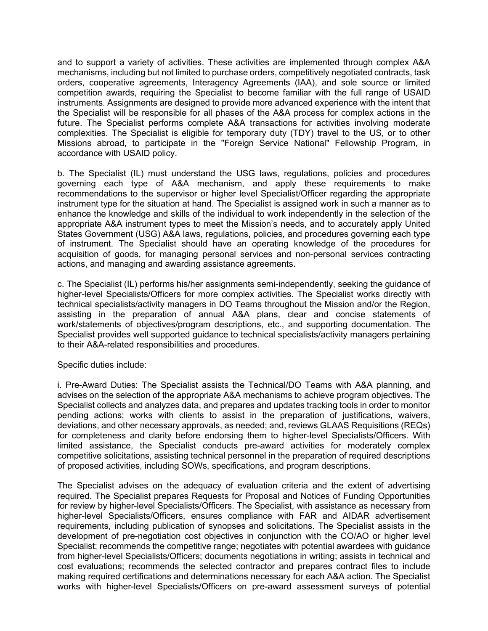and to support a variety of activities. These activities are implemented through complex A&A mechanisms, including but not limited to purchase orders, competitively negotiated contracts, task orders, cooperative agreements, Interagency Agreements (IAA), and sole source or limited competition awards, requiring the Specialist to become familiar with the full range of USAID instruments. Assignments are designed to provide more advanced experience with the intent that the Specialist will be responsible for all phases of the A&A process for complex actions in the future. The Specialist performs complete A&A transactions for activities involving moderate complexities. The Specialist is eligible for temporary duty (TDY) travel to the US, or to other Missions abroad, to participate in the "Foreign Service National" Fellowship Program, in accordance with USAID policy.

b. The Specialist (IL) must understand the USG laws, regulations, policies and procedures governing each type of A&A mechanism, and apply these requirements to make recommendations to the supervisor or higher level Specialist/Officer regarding the appropriate instrument type for the situation at hand. The Specialist is assigned work in such a manner as to enhance the knowledge and skills of the individual to work independently in the selection of the appropriate A&A instrument types to meet the Mission's needs, and to accurately apply United States Government (USG) A&A laws, regulations, policies, and procedures governing each type of instrument. The Specialist should have an operating knowledge of the procedures for acquisition of goods, for managing personal services and non-personal services contracting actions, and managing and awarding assistance agreements.

c. The Specialist (IL) performs his/her assignments semi-independently, seeking the guidance of higher-level Specialists/Officers for more complex activities. The Specialist works directly with technical specialists/activity managers in DO Teams throughout the Mission and/or the Region, assisting in the preparation of annual A&A plans, clear and concise statements of work/statements of objectives/program descriptions, etc., and supporting documentation. The Specialist provides well supported guidance to technical specialists/activity managers pertaining to their A&A-related responsibilities and procedures.

Specific duties include:

i. Pre-Award Duties: The Specialist assists the Technical/DO Teams with A&A planning, and advises on the selection of the appropriate A&A mechanisms to achieve program objectives. The Specialist collects and analyzes data, and prepares and updates tracking tools in order to monitor pending actions; works with clients to assist in the preparation of justifications, waivers, deviations, and other necessary approvals, as needed; and, reviews GLAAS Requisitions (REQs) for completeness and clarity before endorsing them to higher-level Specialists/Officers. With limited assistance, the Specialist conducts pre-award activities for moderately complex competitive solicitations, assisting technical personnel in the preparation of required descriptions of proposed activities, including SOWs, specifications, and program descriptions.

The Specialist advises on the adequacy of evaluation criteria and the extent of advertising required. The Specialist prepares Requests for Proposal and Notices of Funding Opportunities for review by higher-level Specialists/Officers. The Specialist, with assistance as necessary from higher-level Specialists/Officers, ensures compliance with FAR and AIDAR advertisement requirements, including publication of synopses and solicitations. The Specialist assists in the development of pre-negotiation cost objectives in conjunction with the CO/AO or higher level Specialist; recommends the competitive range; negotiates with potential awardees with guidance from higher-level Specialists/Officers; documents negotiations in writing; assists in technical and cost evaluations; recommends the selected contractor and prepares contract files to include making required certifications and determinations necessary for each A&A action. The Specialist works with higher-level Specialists/Officers on pre-award assessment surveys of potential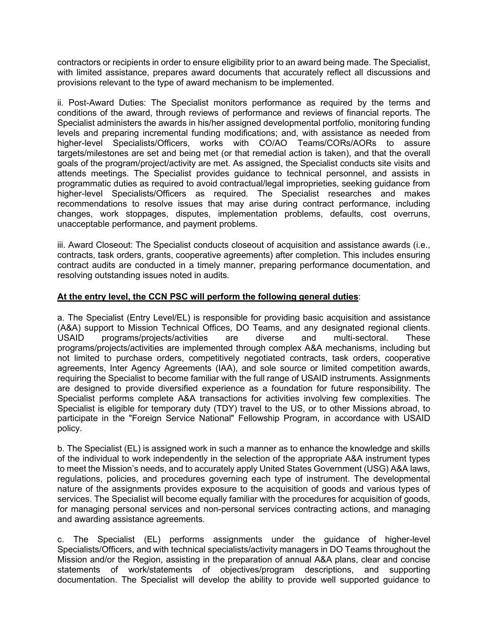contractors or recipients in order to ensure eligibility prior to an award being made. The Specialist, with limited assistance, prepares award documents that accurately reflect all discussions and provisions relevant to the type of award mechanism to be implemented.

ii. Post-Award Duties: The Specialist monitors performance as required by the terms and conditions of the award, through reviews of performance and reviews of financial reports. The Specialist administers the awards in his/her assigned developmental portfolio, monitoring funding levels and preparing incremental funding modifications; and, with assistance as needed from higher-level Specialists/Officers, works with CO/AO Teams/CORs/AORs to assure targets/milestones are set and being met (or that remedial action is taken), and that the overall goals of the program/project/activity are met. As assigned, the Specialist conducts site visits and attends meetings. The Specialist provides guidance to technical personnel, and assists in programmatic duties as required to avoid contractual/legal improprieties, seeking guidance from higher-level Specialists/Officers as required. The Specialist researches and makes recommendations to resolve issues that may arise during contract performance, including changes, work stoppages, disputes, implementation problems, defaults, cost overruns, unacceptable performance, and payment problems.

iii. Award Closeout: The Specialist conducts closeout of acquisition and assistance awards (i.e., contracts, task orders, grants, cooperative agreements) after completion. This includes ensuring contract audits are conducted in a timely manner, preparing performance documentation, and resolving outstanding issues noted in audits.

## **At the entry level, the CCN PSC will perform the following general duties**:

a. The Specialist (Entry Level/EL) is responsible for providing basic acquisition and assistance (A&A) support to Mission Technical Offices, DO Teams, and any designated regional clients. USAID programs/projects/activities are diverse and multi-sectoral. These programs/projects/activities are implemented through complex A&A mechanisms, including but not limited to purchase orders, competitively negotiated contracts, task orders, cooperative agreements, Inter Agency Agreements (IAA), and sole source or limited competition awards, requiring the Specialist to become familiar with the full range of USAID instruments. Assignments are designed to provide diversified experience as a foundation for future responsibility. The Specialist performs complete A&A transactions for activities involving few complexities. The Specialist is eligible for temporary duty (TDY) travel to the US, or to other Missions abroad, to participate in the "Foreign Service National" Fellowship Program, in accordance with USAID policy.

b. The Specialist (EL) is assigned work in such a manner as to enhance the knowledge and skills of the individual to work independently in the selection of the appropriate A&A instrument types to meet the Mission's needs, and to accurately apply United States Government (USG) A&A laws, regulations, policies, and procedures governing each type of instrument. The developmental nature of the assignments provides exposure to the acquisition of goods and various types of services. The Specialist will become equally familiar with the procedures for acquisition of goods, for managing personal services and non-personal services contracting actions, and managing and awarding assistance agreements.

c. The Specialist (EL) performs assignments under the guidance of higher-level Specialists/Officers, and with technical specialists/activity managers in DO Teams throughout the Mission and/or the Region, assisting in the preparation of annual A&A plans, clear and concise statements of work/statements of objectives/program descriptions, and supporting documentation. The Specialist will develop the ability to provide well supported guidance to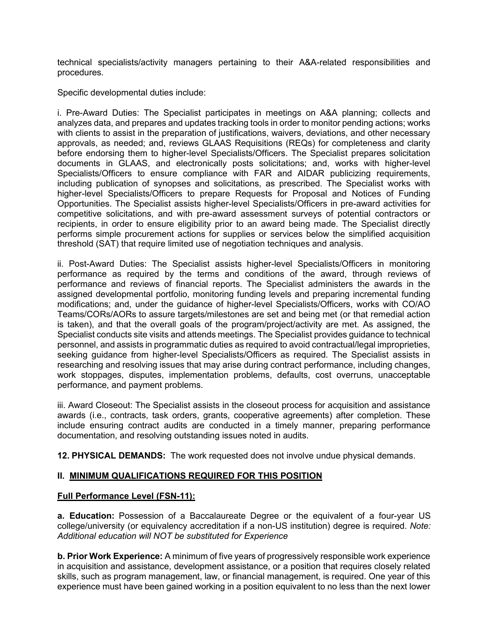technical specialists/activity managers pertaining to their A&A-related responsibilities and procedures.

Specific developmental duties include:

i. Pre-Award Duties: The Specialist participates in meetings on A&A planning; collects and analyzes data, and prepares and updates tracking tools in order to monitor pending actions; works with clients to assist in the preparation of justifications, waivers, deviations, and other necessary approvals, as needed; and, reviews GLAAS Requisitions (REQs) for completeness and clarity before endorsing them to higher-level Specialists/Officers. The Specialist prepares solicitation documents in GLAAS, and electronically posts solicitations; and, works with higher-level Specialists/Officers to ensure compliance with FAR and AIDAR publicizing requirements, including publication of synopses and solicitations, as prescribed. The Specialist works with higher-level Specialists/Officers to prepare Requests for Proposal and Notices of Funding Opportunities. The Specialist assists higher-level Specialists/Officers in pre-award activities for competitive solicitations, and with pre-award assessment surveys of potential contractors or recipients, in order to ensure eligibility prior to an award being made. The Specialist directly performs simple procurement actions for supplies or services below the simplified acquisition threshold (SAT) that require limited use of negotiation techniques and analysis.

ii. Post-Award Duties: The Specialist assists higher-level Specialists/Officers in monitoring performance as required by the terms and conditions of the award, through reviews of performance and reviews of financial reports. The Specialist administers the awards in the assigned developmental portfolio, monitoring funding levels and preparing incremental funding modifications; and, under the guidance of higher-level Specialists/Officers, works with CO/AO Teams/CORs/AORs to assure targets/milestones are set and being met (or that remedial action is taken), and that the overall goals of the program/project/activity are met. As assigned, the Specialist conducts site visits and attends meetings. The Specialist provides guidance to technical personnel, and assists in programmatic duties as required to avoid contractual/legal improprieties, seeking guidance from higher-level Specialists/Officers as required. The Specialist assists in researching and resolving issues that may arise during contract performance, including changes, work stoppages, disputes, implementation problems, defaults, cost overruns, unacceptable performance, and payment problems.

iii. Award Closeout: The Specialist assists in the closeout process for acquisition and assistance awards (i.e., contracts, task orders, grants, cooperative agreements) after completion. These include ensuring contract audits are conducted in a timely manner, preparing performance documentation, and resolving outstanding issues noted in audits.

**12. PHYSICAL DEMANDS:** The work requested does not involve undue physical demands.

# **II. MINIMUM QUALIFICATIONS REQUIRED FOR THIS POSITION**

### **Full Performance Level (FSN-11):**

**a. Education:** Possession of a Baccalaureate Degree or the equivalent of a four-year US college/university (or equivalency accreditation if a non-US institution) degree is required. *Note: Additional education will NOT be substituted for Experience*

**b. Prior Work Experience:** A minimum of five years of progressively responsible work experience in acquisition and assistance, development assistance, or a position that requires closely related skills, such as program management, law, or financial management, is required. One year of this experience must have been gained working in a position equivalent to no less than the next lower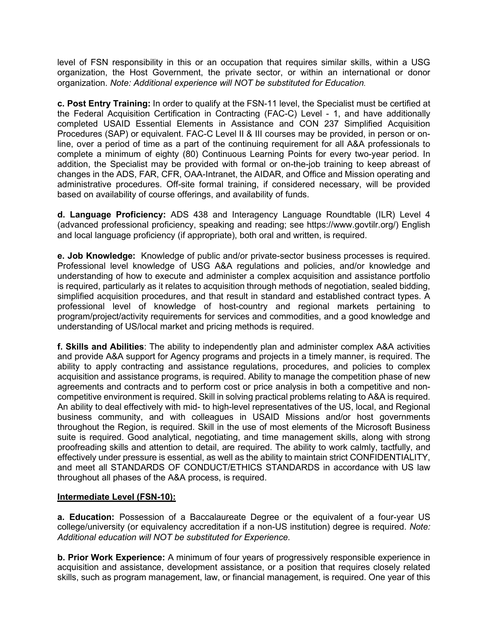level of FSN responsibility in this or an occupation that requires similar skills, within a USG organization, the Host Government, the private sector, or within an international or donor organization. *Note: Additional experience will NOT be substituted for Education.* 

**c. Post Entry Training:** In order to qualify at the FSN-11 level, the Specialist must be certified at the Federal Acquisition Certification in Contracting (FAC-C) Level - 1, and have additionally completed USAID Essential Elements in Assistance and CON 237 Simplified Acquisition Procedures (SAP) or equivalent. FAC-C Level II & III courses may be provided, in person or online, over a period of time as a part of the continuing requirement for all A&A professionals to complete a minimum of eighty (80) Continuous Learning Points for every two-year period. In addition, the Specialist may be provided with formal or on-the-job training to keep abreast of changes in the ADS, FAR, CFR, OAA-Intranet, the AIDAR, and Office and Mission operating and administrative procedures. Off-site formal training, if considered necessary, will be provided based on availability of course offerings, and availability of funds.

**d. Language Proficiency:** ADS 438 and Interagency Language Roundtable (ILR) Level 4 (advanced professional proficiency, speaking and reading; see https://www.govtilr.org/) English and local language proficiency (if appropriate), both oral and written, is required.

**e. Job Knowledge:** Knowledge of public and/or private-sector business processes is required. Professional level knowledge of USG A&A regulations and policies, and/or knowledge and understanding of how to execute and administer a complex acquisition and assistance portfolio is required, particularly as it relates to acquisition through methods of negotiation, sealed bidding, simplified acquisition procedures, and that result in standard and established contract types. A professional level of knowledge of host-country and regional markets pertaining to program/project/activity requirements for services and commodities, and a good knowledge and understanding of US/local market and pricing methods is required.

**f. Skills and Abilities**: The ability to independently plan and administer complex A&A activities and provide A&A support for Agency programs and projects in a timely manner, is required. The ability to apply contracting and assistance regulations, procedures, and policies to complex acquisition and assistance programs, is required. Ability to manage the competition phase of new agreements and contracts and to perform cost or price analysis in both a competitive and noncompetitive environment is required. Skill in solving practical problems relating to A&A is required. An ability to deal effectively with mid- to high-level representatives of the US, local, and Regional business community, and with colleagues in USAID Missions and/or host governments throughout the Region, is required. Skill in the use of most elements of the Microsoft Business suite is required. Good analytical, negotiating, and time management skills, along with strong proofreading skills and attention to detail, are required. The ability to work calmly, tactfully, and effectively under pressure is essential, as well as the ability to maintain strict CONFIDENTIALITY, and meet all STANDARDS OF CONDUCT/ETHICS STANDARDS in accordance with US law throughout all phases of the A&A process, is required.

### **Intermediate Level (FSN-10):**

**a. Education:** Possession of a Baccalaureate Degree or the equivalent of a four-year US college/university (or equivalency accreditation if a non-US institution) degree is required. *Note: Additional education will NOT be substituted for Experience.*

**b. Prior Work Experience:** A minimum of four years of progressively responsible experience in acquisition and assistance, development assistance, or a position that requires closely related skills, such as program management, law, or financial management, is required. One year of this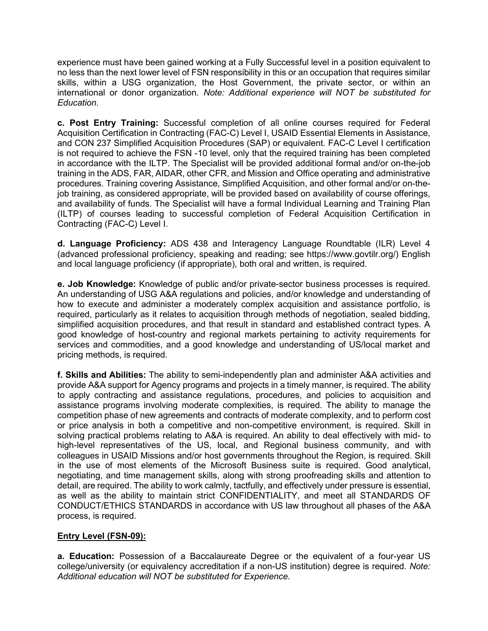experience must have been gained working at a Fully Successful level in a position equivalent to no less than the next lower level of FSN responsibility in this or an occupation that requires similar skills, within a USG organization, the Host Government, the private sector, or within an international or donor organization*. Note: Additional experience will NOT be substituted for Education.*

**c. Post Entry Training:** Successful completion of all online courses required for Federal Acquisition Certification in Contracting (FAC-C) Level I, USAID Essential Elements in Assistance, and CON 237 Simplified Acquisition Procedures (SAP) or equivalent. FAC-C Level I certification is not required to achieve the FSN -10 level, only that the required training has been completed in accordance with the ILTP. The Specialist will be provided additional formal and/or on-the-job training in the ADS, FAR, AIDAR, other CFR, and Mission and Office operating and administrative procedures. Training covering Assistance, Simplified Acquisition, and other formal and/or on-thejob training, as considered appropriate, will be provided based on availability of course offerings, and availability of funds. The Specialist will have a formal Individual Learning and Training Plan (ILTP) of courses leading to successful completion of Federal Acquisition Certification in Contracting (FAC-C) Level I.

**d. Language Proficiency:** ADS 438 and Interagency Language Roundtable (ILR) Level 4 (advanced professional proficiency, speaking and reading; see https://www.govtilr.org/) English and local language proficiency (if appropriate), both oral and written, is required.

**e. Job Knowledge:** Knowledge of public and/or private-sector business processes is required. An understanding of USG A&A regulations and policies, and/or knowledge and understanding of how to execute and administer a moderately complex acquisition and assistance portfolio, is required, particularly as it relates to acquisition through methods of negotiation, sealed bidding, simplified acquisition procedures, and that result in standard and established contract types. A good knowledge of host-country and regional markets pertaining to activity requirements for services and commodities, and a good knowledge and understanding of US/local market and pricing methods, is required.

**f. Skills and Abilities:** The ability to semi-independently plan and administer A&A activities and provide A&A support for Agency programs and projects in a timely manner, is required. The ability to apply contracting and assistance regulations, procedures, and policies to acquisition and assistance programs involving moderate complexities, is required. The ability to manage the competition phase of new agreements and contracts of moderate complexity, and to perform cost or price analysis in both a competitive and non-competitive environment, is required. Skill in solving practical problems relating to A&A is required. An ability to deal effectively with mid- to high-level representatives of the US, local, and Regional business community, and with colleagues in USAID Missions and/or host governments throughout the Region, is required. Skill in the use of most elements of the Microsoft Business suite is required. Good analytical, negotiating, and time management skills, along with strong proofreading skills and attention to detail, are required. The ability to work calmly, tactfully, and effectively under pressure is essential, as well as the ability to maintain strict CONFIDENTIALITY, and meet all STANDARDS OF CONDUCT/ETHICS STANDARDS in accordance with US law throughout all phases of the A&A process, is required.

### **Entry Level (FSN-09):**

**a. Education:** Possession of a Baccalaureate Degree or the equivalent of a four-year US college/university (or equivalency accreditation if a non-US institution) degree is required. *Note: Additional education will NOT be substituted for Experience.*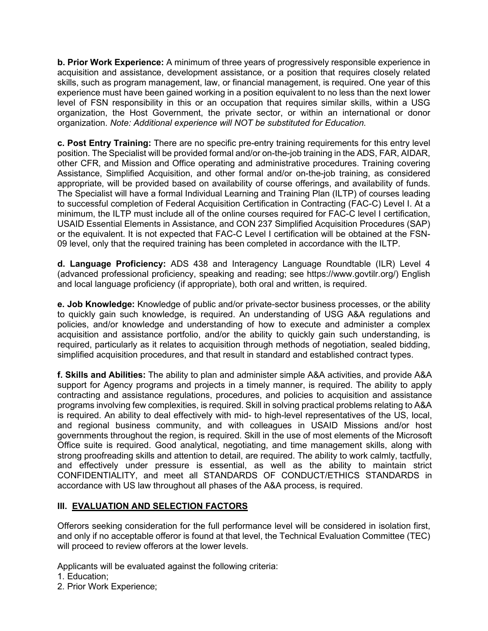**b. Prior Work Experience:** A minimum of three years of progressively responsible experience in acquisition and assistance, development assistance, or a position that requires closely related skills, such as program management, law, or financial management, is required. One year of this experience must have been gained working in a position equivalent to no less than the next lower level of FSN responsibility in this or an occupation that requires similar skills, within a USG organization, the Host Government, the private sector, or within an international or donor organization. *Note: Additional experience will NOT be substituted for Education.*

**c. Post Entry Training:** There are no specific pre-entry training requirements for this entry level position. The Specialist will be provided formal and/or on-the-job training in the ADS, FAR, AIDAR, other CFR, and Mission and Office operating and administrative procedures. Training covering Assistance, Simplified Acquisition, and other formal and/or on-the-job training, as considered appropriate, will be provided based on availability of course offerings, and availability of funds. The Specialist will have a formal Individual Learning and Training Plan (ILTP) of courses leading to successful completion of Federal Acquisition Certification in Contracting (FAC-C) Level I. At a minimum, the ILTP must include all of the online courses required for FAC-C level I certification, USAID Essential Elements in Assistance, and CON 237 Simplified Acquisition Procedures (SAP) or the equivalent. It is not expected that FAC-C Level I certification will be obtained at the FSN-09 level, only that the required training has been completed in accordance with the ILTP.

**d. Language Proficiency:** ADS 438 and Interagency Language Roundtable (ILR) Level 4 (advanced professional proficiency, speaking and reading; see https://www.govtilr.org/) English and local language proficiency (if appropriate), both oral and written, is required.

**e. Job Knowledge:** Knowledge of public and/or private-sector business processes, or the ability to quickly gain such knowledge, is required. An understanding of USG A&A regulations and policies, and/or knowledge and understanding of how to execute and administer a complex acquisition and assistance portfolio, and/or the ability to quickly gain such understanding, is required, particularly as it relates to acquisition through methods of negotiation, sealed bidding, simplified acquisition procedures, and that result in standard and established contract types.

**f. Skills and Abilities:** The ability to plan and administer simple A&A activities, and provide A&A support for Agency programs and projects in a timely manner, is required. The ability to apply contracting and assistance regulations, procedures, and policies to acquisition and assistance programs involving few complexities, is required. Skill in solving practical problems relating to A&A is required. An ability to deal effectively with mid- to high-level representatives of the US, local, and regional business community, and with colleagues in USAID Missions and/or host governments throughout the region, is required. Skill in the use of most elements of the Microsoft Office suite is required. Good analytical, negotiating, and time management skills, along with strong proofreading skills and attention to detail, are required. The ability to work calmly, tactfully, and effectively under pressure is essential, as well as the ability to maintain strict CONFIDENTIALITY, and meet all STANDARDS OF CONDUCT/ETHICS STANDARDS in accordance with US law throughout all phases of the A&A process, is required.

# **III. EVALUATION AND SELECTION FACTORS**

Offerors seeking consideration for the full performance level will be considered in isolation first, and only if no acceptable offeror is found at that level, the Technical Evaluation Committee (TEC) will proceed to review offerors at the lower levels.

Applicants will be evaluated against the following criteria:

- 1. Education;
- 2. Prior Work Experience;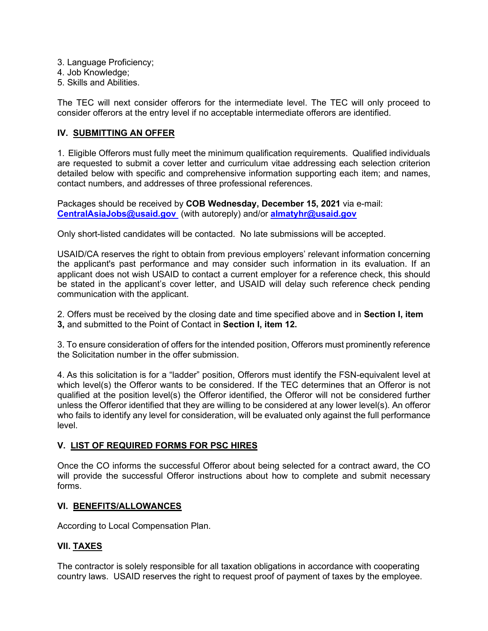- 3. Language Proficiency;
- 4. Job Knowledge;
- 5. Skills and Abilities.

The TEC will next consider offerors for the intermediate level. The TEC will only proceed to consider offerors at the entry level if no acceptable intermediate offerors are identified.

### **IV. SUBMITTING AN OFFER**

1. Eligible Offerors must fully meet the minimum qualification requirements. Qualified individuals are requested to submit a cover letter and curriculum vitae addressing each selection criterion detailed below with specific and comprehensive information supporting each item; and names, contact numbers, and addresses of three professional references.

Packages should be received by **COB Wednesday, December 15, 2021** via e-mail: **[CentralAsiaJobs@usaid.gov](mailto:CentralAsiaJobs@usaid.gov)** (with autoreply) and/or **almatyhr@usaid.gov**

Only short-listed candidates will be contacted. No late submissions will be accepted.

USAID/CA reserves the right to obtain from previous employers' relevant information concerning the applicant's past performance and may consider such information in its evaluation. If an applicant does not wish USAID to contact a current employer for a reference check, this should be stated in the applicant's cover letter, and USAID will delay such reference check pending communication with the applicant.

2. Offers must be received by the closing date and time specified above and in **Section I, item 3,** and submitted to the Point of Contact in **Section I, item 12.**

3. To ensure consideration of offers for the intended position, Offerors must prominently reference the Solicitation number in the offer submission.

4. As this solicitation is for a "ladder" position, Offerors must identify the FSN-equivalent level at which level(s) the Offeror wants to be considered. If the TEC determines that an Offeror is not qualified at the position level(s) the Offeror identified, the Offeror will not be considered further unless the Offeror identified that they are willing to be considered at any lower level(s). An offeror who fails to identify any level for consideration, will be evaluated only against the full performance level.

### **V. LIST OF REQUIRED FORMS FOR PSC HIRES**

Once the CO informs the successful Offeror about being selected for a contract award, the CO will provide the successful Offeror instructions about how to complete and submit necessary forms.

### **VI. BENEFITS/ALLOWANCES**

According to Local Compensation Plan.

# **VII. TAXES**

The contractor is solely responsible for all taxation obligations in accordance with cooperating country laws. USAID reserves the right to request proof of payment of taxes by the employee.